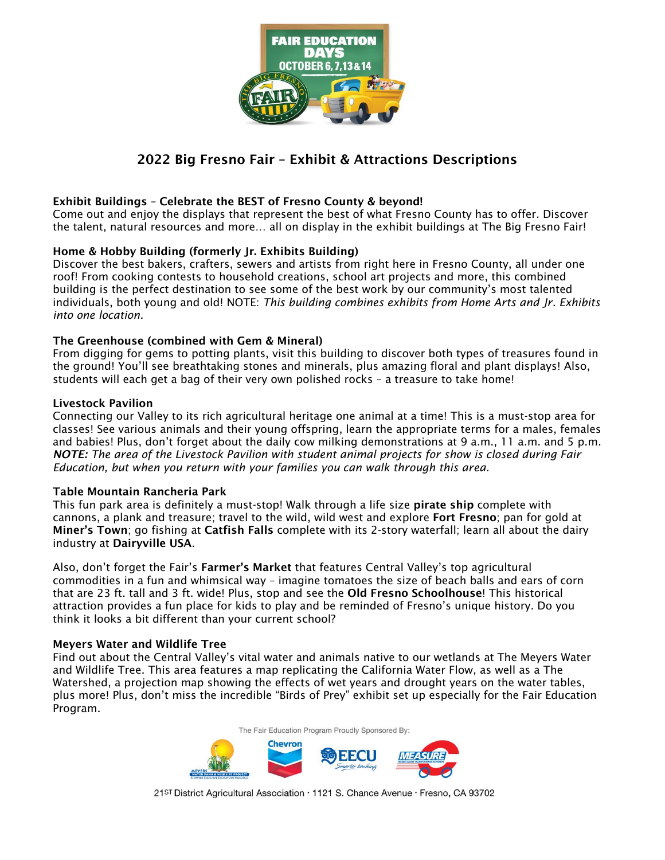

## 2022 Big Fresno Fair – Exhibit & Attractions Descriptions

### Exhibit Buildings – Celebrate the BEST of Fresno County & beyond!

Come out and enjoy the displays that represent the best of what Fresno County has to offer. Discover the talent, natural resources and more… all on display in the exhibit buildings at The Big Fresno Fair!

### Home & Hobby Building (formerly Jr. Exhibits Building)

Discover the best bakers, crafters, sewers and artists from right here in Fresno County, all under one roof! From cooking contests to household creations, school art projects and more, this combined building is the perfect destination to see some of the best work by our community's most talented individuals, both young and old! NOTE: *This building combines exhibits from Home Arts and Jr. Exhibits into one location.*

### The Greenhouse (combined with Gem & Mineral)

From digging for gems to potting plants, visit this building to discover both types of treasures found in the ground! You'll see breathtaking stones and minerals, plus amazing floral and plant displays! Also, students will each get a bag of their very own polished rocks – a treasure to take home!

### Livestock Pavilion

Connecting our Valley to its rich agricultural heritage one animal at a time! This is a must-stop area for classes! See various animals and their young offspring, learn the appropriate terms for a males, females and babies! Plus, don't forget about the daily cow milking demonstrations at 9 a.m., 11 a.m. and 5 p.m. *NOTE: The area of the Livestock Pavilion with student animal projects for show is closed during Fair Education, but when you return with your families you can walk through this area.* 

### Table Mountain Rancheria Park

This fun park area is definitely a must-stop! Walk through a life size pirate ship complete with cannons, a plank and treasure; travel to the wild, wild west and explore Fort Fresno; pan for gold at Miner's Town; go fishing at Catfish Falls complete with its 2-story waterfall; learn all about the dairy industry at Dairyville USA.

Also, don't forget the Fair's Farmer's Market that features Central Valley's top agricultural commodities in a fun and whimsical way – imagine tomatoes the size of beach balls and ears of corn that are 23 ft. tall and 3 ft. wide! Plus, stop and see the **Old Fresno Schoolhouse**! This historical attraction provides a fun place for kids to play and be reminded of Fresno's unique history. Do you think it looks a bit different than your current school?

#### Meyers Water and Wildlife Tree

Find out about the Central Valley's vital water and animals native to our wetlands at The Meyers Water and Wildlife Tree. This area features a map replicating the California Water Flow, as well as a The Watershed, a projection map showing the effects of wet years and drought years on the water tables, plus more! Plus, don't miss the incredible "Birds of Prey" exhibit set up especially for the Fair Education Program.

The Fair Education Program Proudly Sponsored By:

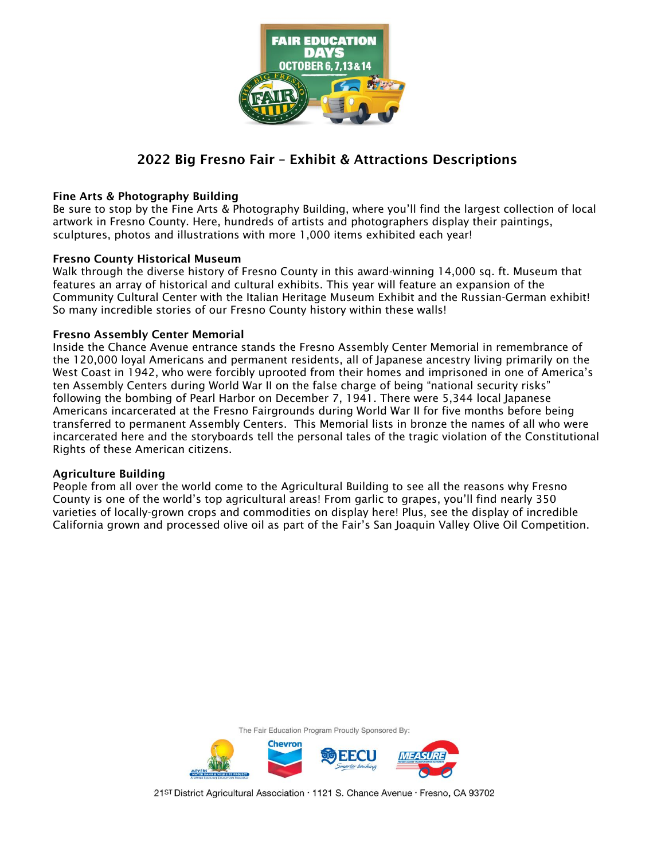

## 2022 Big Fresno Fair – Exhibit & Attractions Descriptions

### Fine Arts & Photography Building

Be sure to stop by the Fine Arts & Photography Building, where you'll find the largest collection of local artwork in Fresno County. Here, hundreds of artists and photographers display their paintings, sculptures, photos and illustrations with more 1,000 items exhibited each year!

### Fresno County Historical Museum

Walk through the diverse history of Fresno County in this award-winning 14,000 sq. ft. Museum that features an array of historical and cultural exhibits. This year will feature an expansion of the Community Cultural Center with the Italian Heritage Museum Exhibit and the Russian-German exhibit! So many incredible stories of our Fresno County history within these walls!

### Fresno Assembly Center Memorial

Inside the Chance Avenue entrance stands the Fresno Assembly Center Memorial in remembrance of the 120,000 loyal Americans and permanent residents, all of Japanese ancestry living primarily on the West Coast in 1942, who were forcibly uprooted from their homes and imprisoned in one of America's ten Assembly Centers during World War II on the false charge of being "national security risks" following the bombing of Pearl Harbor on December 7, 1941. There were 5,344 local Japanese Americans incarcerated at the Fresno Fairgrounds during World War II for five months before being transferred to permanent Assembly Centers. This Memorial lists in bronze the names of all who were incarcerated here and the storyboards tell the personal tales of the tragic violation of the Constitutional Rights of these American citizens.

### Agriculture Building

People from all over the world come to the Agricultural Building to see all the reasons why Fresno County is one of the world's top agricultural areas! From garlic to grapes, you'll find nearly 350 varieties of locally-grown crops and commodities on display here! Plus, see the display of incredible California grown and processed olive oil as part of the Fair's San Joaquin Valley Olive Oil Competition.



21ST District Agricultural Association · 1121 S. Chance Avenue · Fresno, CA 93702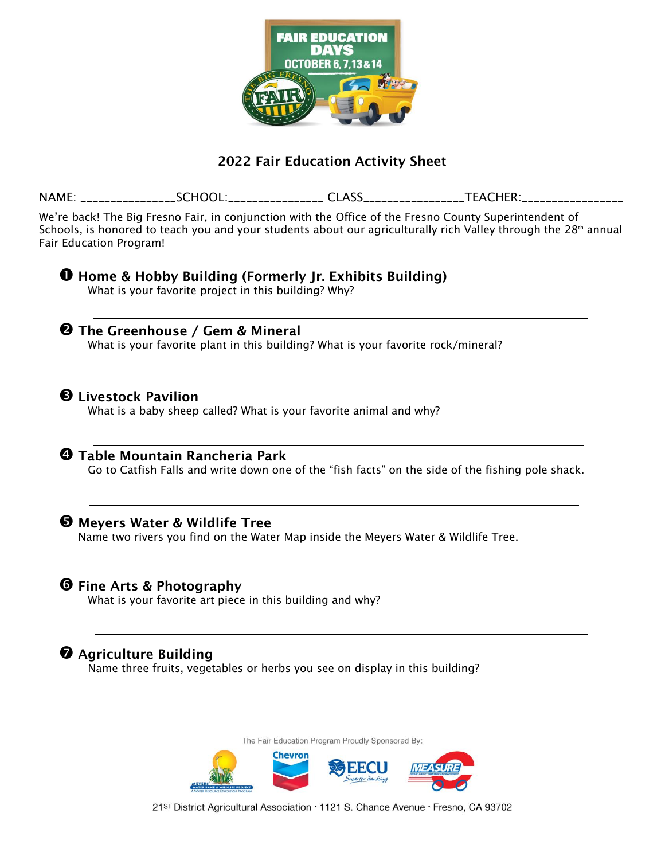

## 2022 Fair Education Activity Sheet

NAME: \_\_\_\_\_\_\_\_\_\_\_\_\_\_\_\_SCHOOL:\_\_\_\_\_\_\_\_\_\_\_\_\_\_\_\_ CLASS\_\_\_\_\_\_\_\_\_\_\_\_\_\_\_\_\_TEACHER:\_\_\_\_\_\_\_\_\_\_\_\_\_\_\_\_\_ We're back! The Big Fresno Fair, in conjunction with the Office of the Fresno County Superintendent of Schools, is honored to teach you and your students about our agriculturally rich Valley through the  $28<sup>th</sup>$  annual Fair Education Program! **O** Home & Hobby Building (Formerly Jr. Exhibits Building) What is your favorite project in this building? Why? **2** The Greenhouse / Gem & Mineral What is your favorite plant in this building? What is your favorite rock/mineral? **B** Livestock Pavilion What is a baby sheep called? What is your favorite animal and why? **4 Table Mountain Rancheria Park** Go to Catfish Falls and write down one of the "fish facts" on the side of the fishing pole shack. **O** Meyers Water & Wildlife Tree Name two rivers you find on the Water Map inside the Meyers Water & Wildlife Tree. **O** Fine Arts & Photography What is your favorite art piece in this building and why?  $\odot$  Agriculture Building Name three fruits, vegetables or herbs you see on display in this building?The Fair Education Program Proudly Sponsored By:



21ST District Agricultural Association · 1121 S. Chance Avenue · Fresno, CA 93702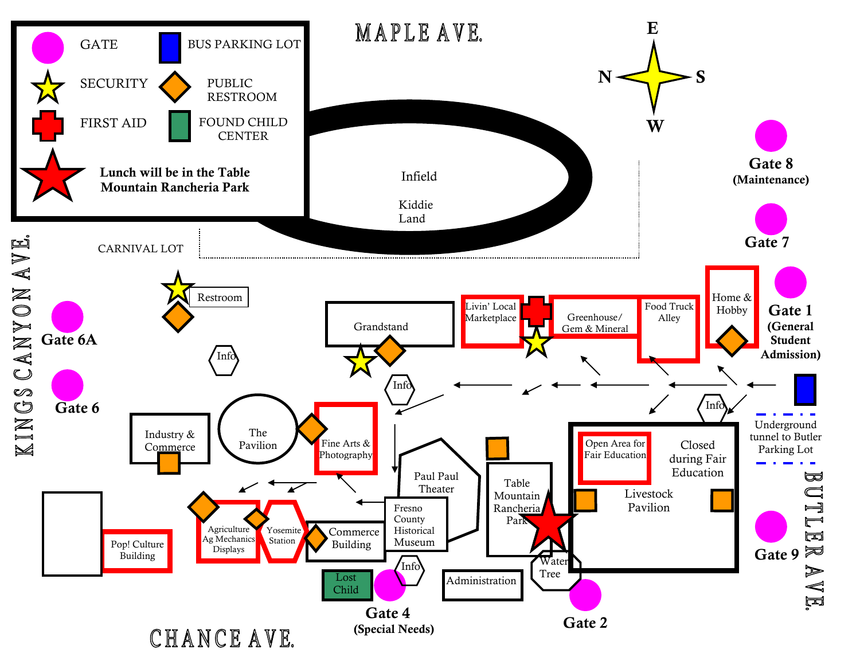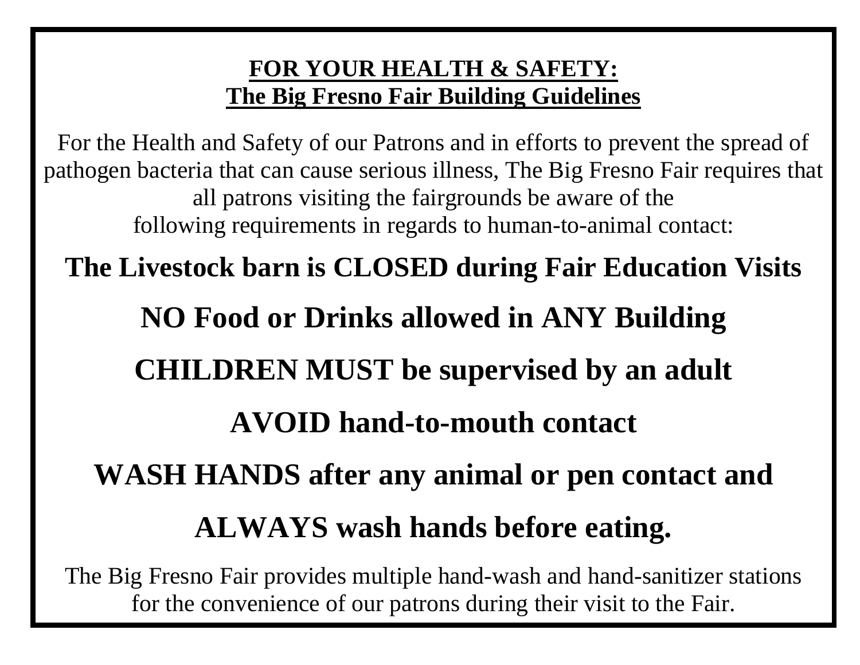# **FOR YOUR HEALTH & SAFETY: The Big Fresno Fair Building Guidelines**

For the Health and Safety of our Patrons and in efforts to prevent the spread of pathogen bacteria that can cause serious illness, The Big Fresno Fair requires that all patrons visiting the fairgrounds be aware of the following requirements in regards to human-to-animal contact:

**The Livestock barn is CLOSED during Fair Education Visits NO Food or Drinks allowed in ANY Building CHILDREN MUST be supervised by an adult AVOID hand-to-mouth contact** 

**WASH HANDS after any animal or pen contact and ALWAYS wash hands before eating.** 

The Big Fresno Fair provides multiple hand-wash and hand-sanitizer stations for the convenience of our patrons during their visit to the Fair.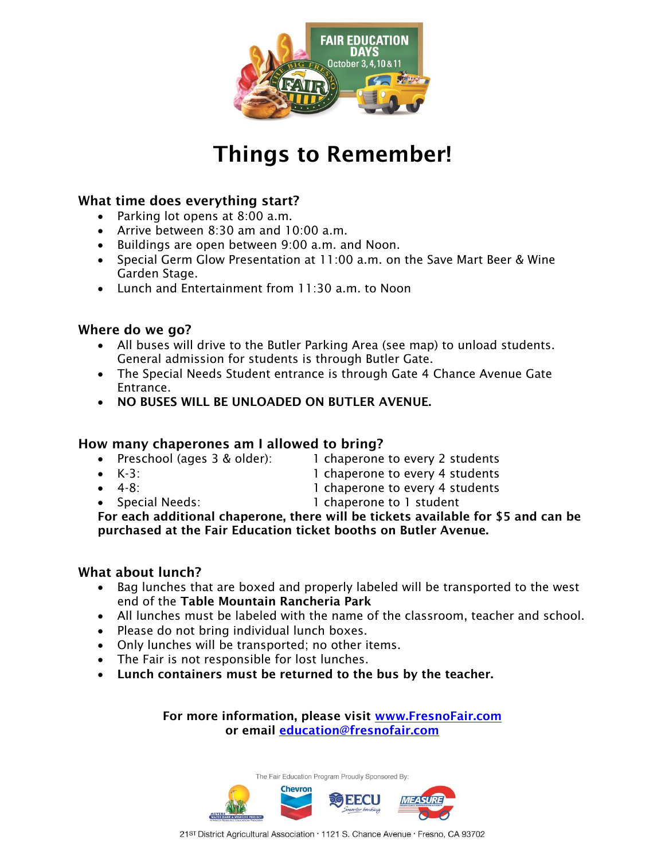

# Things to Remember!

## What time does everything start?

- Parking lot opens at 8:00 a.m.
- Arrive between 8:30 am and 10:00 a.m.
- Buildings are open between 9:00 a.m. and Noon.
- Special Germ Glow Presentation at 11:00 a.m. on the Save Mart Beer & Wine Garden Stage.
- Lunch and Entertainment from 11:30 a.m. to Noon

## Where do we go?

- All buses will drive to the Butler Parking Area (see map) to unload students. General admission for students is through Butler Gate.
- The Special Needs Student entrance is through Gate 4 Chance Avenue Gate Entrance.
- NO BUSES WILL BE UNLOADED ON BUTLER AVENUE.

## How many chaperones am I allowed to bring?

- Preschool (ages 3 & older): 1 chaperone to every 2 students
- K-3: 1 chaperone to every 4 students
- 
- 4-8: 1 chaperone to every 4 students
- 
- Special Needs: 1 chaperone to 1 student

For each additional chaperone, there will be tickets available for \$5 and can be purchased at the Fair Education ticket booths on Butler Avenue.

### What about lunch?

- Bag lunches that are boxed and properly labeled will be transported to the west end of the Table Mountain Rancheria Park
- All lunches must be labeled with the name of the classroom, teacher and school.
- Please do not bring individual lunch boxes.
- Only lunches will be transported; no other items.
- The Fair is not responsible for lost lunches.
- Lunch containers must be returned to the bus by the teacher.

For more information, please visit [www.FresnoFair.com](http://www.fresnofair.com/) or email [education@fresnofair.com](mailto:education@fresnofair.com)